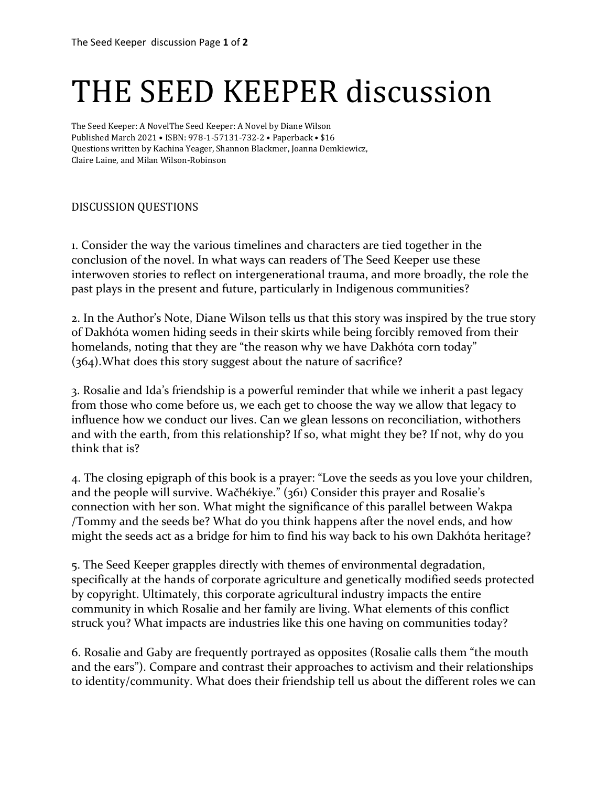## THE SEED KEEPER discussion

The Seed Keeper: A NovelThe Seed Keeper: A Novel by Diane Wilson Published March 2021 • ISBN: 978-1-57131-732-2 • Paperback • \$16 Questions written by Kachina Yeager, Shannon Blackmer, Joanna Demkiewicz, Claire Laine, and Milan Wilson-Robinson

## DISCUSSION QUESTIONS

1. Consider the way the various timelines and characters are tied together in the conclusion of the novel. In what ways can readers of The Seed Keeper use these interwoven stories to reflect on intergenerational trauma, and more broadly, the role the past plays in the present and future, particularly in Indigenous communities?

2. In the Author's Note, Diane Wilson tells us that this story was inspired by the true story of Dakhóta women hiding seeds in their skirts while being forcibly removed from their homelands, noting that they are "the reason why we have Dakhóta corn today" (364).What does this story suggest about the nature of sacrifice?

3. Rosalie and Ida's friendship is a powerful reminder that while we inherit a past legacy from those who come before us, we each get to choose the way we allow that legacy to influence how we conduct our lives. Can we glean lessons on reconciliation, withothers and with the earth, from this relationship? If so, what might they be? If not, why do you think that is?

4. The closing epigraph of this book is a prayer: "Love the seeds as you love your children, and the people will survive. Wačhékiye." (361) Consider this prayer and Rosalie's connection with her son. What might the significance of this parallel between Wakpa /Tommy and the seeds be? What do you think happens after the novel ends, and how might the seeds act as a bridge for him to find his way back to his own Dakhóta heritage?

5. The Seed Keeper grapples directly with themes of environmental degradation, specifically at the hands of corporate agriculture and genetically modified seeds protected by copyright. Ultimately, this corporate agricultural industry impacts the entire community in which Rosalie and her family are living. What elements of this conflict struck you? What impacts are industries like this one having on communities today?

6. Rosalie and Gaby are frequently portrayed as opposites (Rosalie calls them "the mouth and the ears"). Compare and contrast their approaches to activism and their relationships to identity/community. What does their friendship tell us about the different roles we can